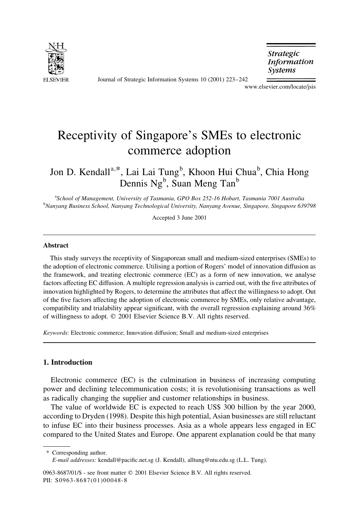

Journal of Strategic Information Systems 10 (2001) 223-242

**Strategic Information** *Systems* 

www.elsevier.com/locate/jsis

## Receptivity of Singapore's SMEs to electronic commerce adoption

Jon D. Kendall<sup>a,\*</sup>, Lai Lai Tung<sup>b</sup>, Khoon Hui Chua<sup>b</sup>, Chia Hong Dennis Ng<sup>b</sup>, Suan Meng Tan<sup>b</sup>

aSchool of Management, University of Tasmania, GPO Box 252-16 Hobart, Tasmania 7001 Australia <sup>b</sup>Nanyang Business School, Nanyang Technological University, Nanyang Avenue, Singapore, Singapore 639798

Accepted 3 June 2001

## **Abstract**

This study surveys the receptivity of Singaporean small and medium-sized enterprises (SMEs) to the adoption of electronic commerce. Utilising a portion of Rogers' model of innovation diffusion as the framework, and treating electronic commerce (EC) as a form of new innovation, we analyse factors affecting EC diffusion. A multiple regression analysis is carried out, with the five attributes of innovation highlighted by Rogers, to determine the attributes that affect the willingness to adopt. Out of the five factors affecting the adoption of electronic commerce by SMEs, only relative advantage, compatibility and trialability appear significant, with the overall regression explaining around 36% of willingness to adopt. © 2001 Elsevier Science B.V. All rights reserved.

Keywords: Electronic commerce; Innovation diffusion; Small and medium-sized enterprises

## 1. Introduction

Electronic commerce (EC) is the culmination in business of increasing computing power and declining telecommunication costs; it is revolutionising transactions as well as radically changing the supplier and customer relationships in business.

The value of worldwide EC is expected to reach US\$ 300 billion by the year 2000, according to Dryden (1998). Despite this high potential, Asian businesses are still reluctant to infuse EC into their business processes. Asia as a whole appears less engaged in EC compared to the United States and Europe. One apparent explanation could be that many

<sup>\*</sup> Corresponding author.

E-mail addresses: kendall@pacific.net.sg (J. Kendall), alltung@ntu.edu.sg (L.L. Tung).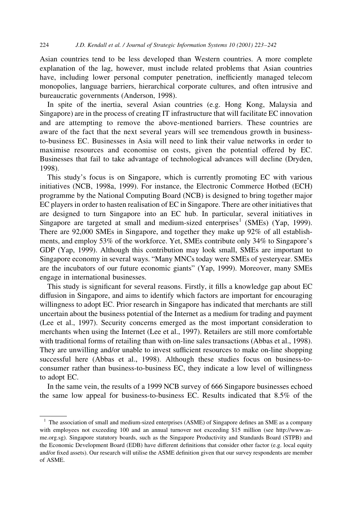Asian countries tend to be less developed than Western countries. A more complete explanation of the lag, however, must include related problems that Asian countries have, including lower personal computer penetration, inefficiently managed telecom monopolies, language barriers, hierarchical corporate cultures, and often intrusive and bureaucratic governments (Anderson, 1998).

In spite of the inertia, several Asian countries (e.g. Hong Kong, Malaysia and Singapore) are in the process of creating IT infrastructure that will facilitate EC innovation and are attempting to remove the above-mentioned barriers. These countries are aware of the fact that the next several years will see tremendous growth in businessto-business EC. Businesses in Asia will need to link their value networks in order to maximise resources and economise on costs, given the potential offered by EC. Businesses that fail to take advantage of technological advances will decline (Dryden, 1998).

This study's focus is on Singapore, which is currently promoting EC with various initiatives (NCB, 1998a, 1999). For instance, the Electronic Commerce Hotbed (ECH) programme by the National Computing Board (NCB) is designed to bring together major EC players in order to hasten realisation of EC in Singapore. There are other initiatives that are designed to turn Singapore into an EC hub. In particular, several initiatives in Singapore are targeted at small and medium-sized enterprises<sup>1</sup> (SMEs) (Yap, 1999). There are 92,000 SMEs in Singapore, and together they make up 92% of all establishments, and employ 53% of the workforce. Yet, SMEs contribute only 34% to Singapore's GDP (Yap, 1999). Although this contribution may look small, SMEs are important to Singapore economy in several ways. "Many MNCs today were SMEs of yesteryear. SMEs are the incubators of our future economic giants" (Yap, 1999). Moreover, many SMEs engage in international businesses.

This study is significant for several reasons. Firstly, it fills a knowledge gap about EC diffusion in Singapore, and aims to identify which factors are important for encouraging willingness to adopt EC. Prior research in Singapore has indicated that merchants are still uncertain about the business potential of the Internet as a medium for trading and payment (Lee et al., 1997). Security concerns emerged as the most important consideration to merchants when using the Internet (Lee et al., 1997). Retailers are still more comfortable with traditional forms of retailing than with on-line sales transactions (Abbas et al., 1998). They are unwilling and/or unable to invest sufficient resources to make on-line shopping successful here (Abbas et al., 1998). Although these studies focus on business-toconsumer rather than business-to-business EC, they indicate a low level of willingness to adopt EC.

In the same vein, the results of a 1999 NCB survey of 666 Singapore businesses echoed the same low appeal for business-to-business EC. Results indicated that 8.5% of the

<sup>&</sup>lt;sup>1</sup> The association of small and medium-sized enterprises (ASME) of Singapore defines an SME as a company with employees not exceeding 100 and an annual turnover not exceeding \$15 million (see http://www.asme.org.sg). Singapore statutory boards, such as the Singapore Productivity and Standards Board (STPB) and the Economic Development Board (EDB) have different definitions that consider other factor (e.g. local equity and/or fixed assets). Our research will utilise the ASME definition given that our survey respondents are member of ASME.